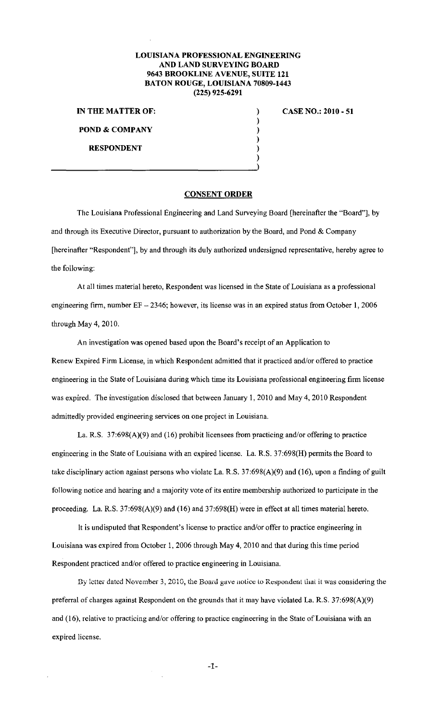## **LOUISIANA PROFESSIONAL ENGINEERING AND LAND SURVEYING BOARD 9643 BROOKLINE A VENUE, SUITE 121 BATON ROUGE, LOUISIANA 70809-1443 (225) 925-6291**

) ) ) ) ) )

**IN THE MATTER OF: POND & COMPANY** 

**RESPONDENT** 

**CASE NO.: 2010- 51** 

## **CONSENT ORDER**

The Louisiana Professional Engineering and Land Surveying Board [hereinafter the "Board"], by and through its Executive Director, pursuant to authorization by the Board, and Pond  $& Company$ [hereinafter "Respondent"], by and through its duly authorized undersigned representative, hereby agree to the following:

At all times material hereto, Respondent was licensed in the State of Louisiana as a professional engineering firm, number  $EF - 2346$ ; however, its license was in an expired status from October 1, 2006 through May 4, 2010.

An investigation was opened based upon the Board's receipt of an Application to Renew Expired Firm License, in which Respondent admitted that it practiced and/or offered to practice engineering in the State of Louisiana during which time its Louisiana professional engineering firm license was expired. The investigation disclosed that between January 1, 2010 and May 4, 2010 Respondent admittedly provided engineering services on one project in Louisiana.

La. R.S. 37:698(A)(9) and (16) prohibit licensees from practicing and/or offering to practice engineering in the State of Louisiana with an expired license. La. R.S. 37:698(H) permits the Board to take disciplinary action against persons who violate La. R.S. 37:698(A)(9) and (16), upon a finding of guilt following notice and hearing and a majority vote of its entire membership authorized to participate in the proceeding. La. R.S. 37:698(A)(9) and (16) and 37:698(H) were in effect at all times material hereto.

It is undisputed that Respondent's license to practice and/or offer to practice engineering in Louisiana was expired from October 1, 2006 through May 4, 2010 and that during this time period Respondent practiced and/or offered to practice engineering in Louisiana.

By letter dated November 3, 2010, the Board gave notice to Respondent that it was considering the preferral of charges against Respondent on the grounds that it may have violated La. R.S. 37:698(A)(9) and (16), relative to practicing and/or offering to practice engineering in the State of Louisiana with an expired license.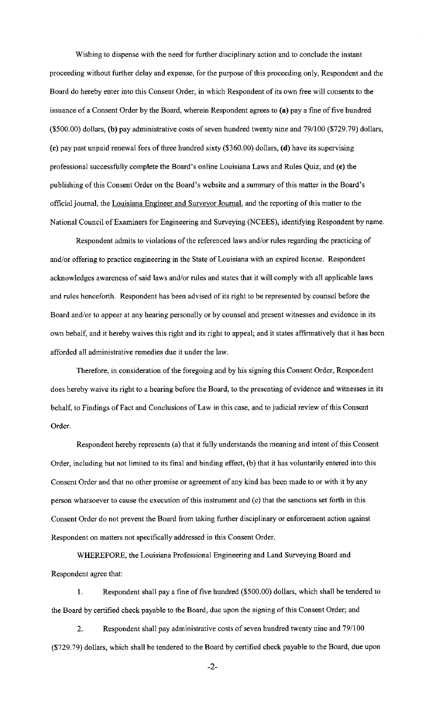Wishing to dispense with the need for further disciplinary action and to conclude the instant proceeding without further delay and expense, for the purpose of this proceeding only, Respondent and the Board do hereby enter into this Consent Order, in which Respondent of its own free will consents to the issuance of a Consent Order by the Board, wherein Respondent agrees to (a) pay a fine of five hundred (\$500.00) dollars, (b) pay administrative costs of seven hundred twenty nine and 79/100 (\$729. 79) dollars, (c) pay past unpaid renewal fees of three hundred sixty (\$360.00) dollars, (d) have its supervising professional successfully complete the Board's online Louisiana Laws and Rules Quiz, and (e) the publishing of this Consent Order on the Board's website and a summary of this matter in the Board's official journal, the Louisiana Engineer and Surveyor Journal, and the reporting of this matter to the National Council of Examiners for Engineering and Surveying (NCEES), identifying Respondent by name.

Respondent admits to violations of the referenced laws and/or rules regarding the practicing of and/or offering to practice engineering in the State of Louisiana with an expired license. Respondent acknowledges awareness of said laws and/or rules and states that it will comply with all applicable laws and rules henceforth. Respondent has been advised of its right to be represented by counsel before the Board and/or to appear at any hearing personally or by counsel and present witnesses and evidence in its own behalf, and it hereby waives this right and its right to appeal; and it states affirmatively that it has been afforded all administrative remedies due it under the law.

Therefore, in consideration of the foregoing and by his signing this Consent Order, Respondent does hereby waive its right to a hearing before the Board, to the presenting of evidence and witnesses in its behalf, to Findings of Fact and Conclusions of Law in this case, and to judicial review of this Consent Order.

Respondent hereby represents (a) that it fully understands the meaning and intent of this Consent Order, including but not limited to its final and binding effect, (b) that it has voluntarily entered into this Consent Order and that no other promise or agreement of any kind has been made to or with it by any person whatsoever to cause the execution of this instrument and (c) that the sanctions set forth in this Consent Order do not prevent the Board from taking further disciplinary or enforcement action against Respondent on matters not specifically addressed in this Consent Order.

WHEREFORE, the Louisiana Professional Engineering and Land Surveying Board and Respondent agree that:

I. Respondent shall pay a fine of five hundred (\$500.00) dollars, which shall be tendered to the Board by certified check payable to the Board, due upon the signing of this Consent Order; and

2. Respondent shall pay administrative costs of seven hundred twenty nine and 79/100 (\$729. 79) dollars, which shall be tendered to the Board by certified check payable to the Board, due upon

-2-